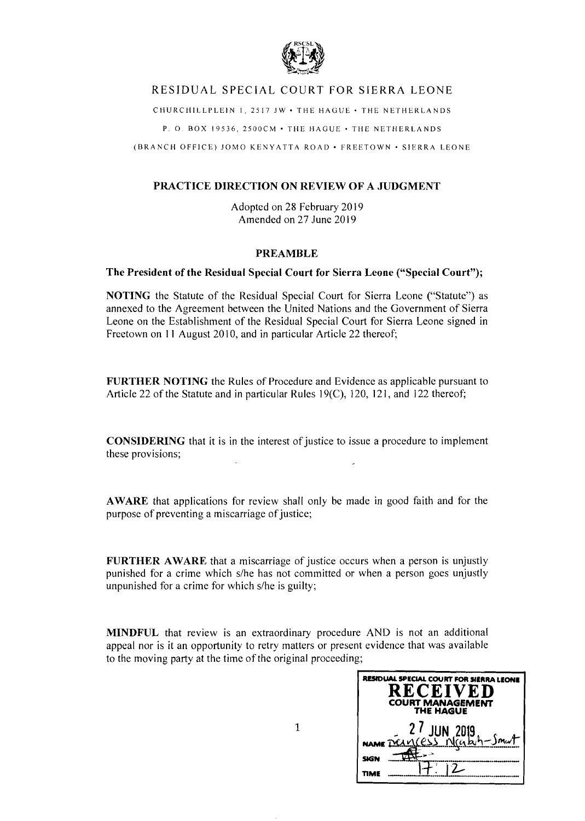

# RESIDUAL SPECIAL COURT FOR SIERRA LEONE

CHURCHILLPLEIN 1,2517 JW· THE HAGUE· THE NETHERLANDS

P. O. BOX 19536, 2500CM • THE HAGUE • THE NETHERLANDS

(BRANCH OFFICE) JOMO KENYATTA ROAD· FREETOWN' SIERRA LEONE

# **PRACTICE DIRECTION ON REVIEW OF A JUDGMENT**

Adopted on 28 February 2019 Amended on 27 June 2019

# **PREAMBLE**

# **The President of the Residual Special Court for Sierra Leone ("Special Court");**

**NOTING** the Statute of the Residual Special Court for Sierra Leone ("Statute") as annexed to the Agreement between the United Nations and the Government of Sierra Leone on the Establishment of the Residual Special Court for Sierra Leone signed in Freetown on 11 August 2010, and in particular Article 22 thereof;

**FURTHER NOTING** the Rules of Procedure and Evidence as applicable pursuant to Article 22 of the Statute and in particular Rules 19{C), 120, 121, and 122 thereof;

**CONSIDERING** that it is in the interest of justice to issue a procedure to implement these provisions;

**AWARE** that applications for review shall only be made in good faith and for the purpose of preventing a miscarriage of justice;

**FURTHER AWARE** that a miscarriage of justice occurs when a person is unjustly punished for a crime which s/he has not committed or when a person goes unjustly unpunished for a crime for which *s/he* is guilty;

**MINDFUL** that review is an extraordinary procedure AND is not an additional appeal nor is it an opportunity to retry matters or present evidence that was available to the moving party at the time of the original proceeding;

| RESIDUAL SPECIAL COURT FOR SIERRA LEONE<br><b>RECEIVED</b><br><b>COURT MANAGEMENT</b><br><b>THE HAGUE</b> |
|-----------------------------------------------------------------------------------------------------------|
| 27 JUN 2019<br>Name Deingess Nicable-Smut                                                                 |
|                                                                                                           |
| <b>SIGN</b>                                                                                               |
|                                                                                                           |

1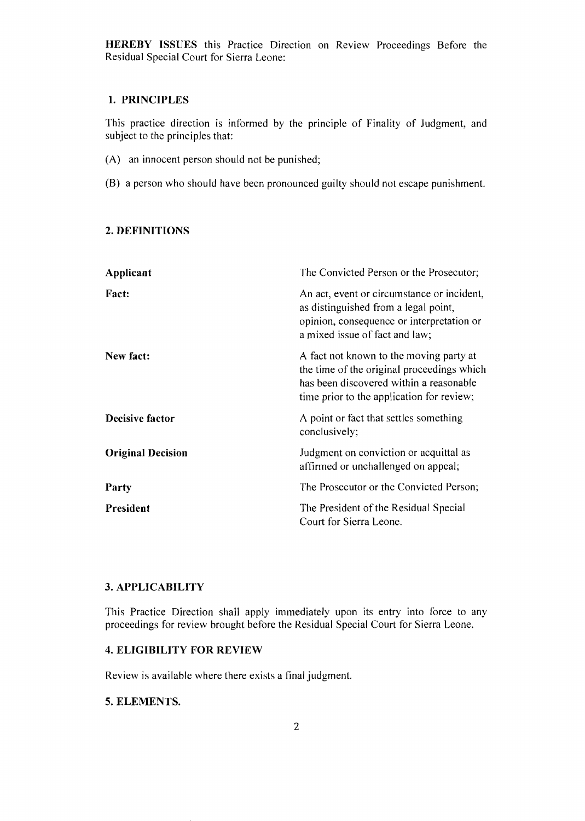**HEREBY ISSUES** this Practice Direction on Review Proceedings Before the Residual Special Court for Sierra Leone:

#### **1. PRINCIPLES**

This practice direction is informed by the principle of Finality of Judgment, and subject to the principles that:

- (A) an innocent person should not be punished;
- (B) a person who should have been pronounced guilty should not escape punishment.

#### **2. DEFINITIONS**

| Applicant                | The Convicted Person or the Prosecutor;                                                                                                                                       |
|--------------------------|-------------------------------------------------------------------------------------------------------------------------------------------------------------------------------|
| <b>Fact:</b>             | An act, event or circumstance or incident,<br>as distinguished from a legal point,<br>opinion, consequence or interpretation or<br>a mixed issue of fact and law;             |
| New fact:                | A fact not known to the moving party at<br>the time of the original proceedings which<br>has been discovered within a reasonable<br>time prior to the application for review; |
| Decisive factor          | A point or fact that settles something<br>conclusively;                                                                                                                       |
| <b>Original Decision</b> | Judgment on conviction or acquittal as<br>affirmed or unchallenged on appeal;                                                                                                 |
| Party                    | The Prosecutor or the Convicted Person;                                                                                                                                       |
| <b>President</b>         | The President of the Residual Special<br>Court for Sierra Leone.                                                                                                              |

### **3. APPLICABILITY**

This Practice Direction shall apply immediately upon its entry into force to any proceedings for review brought before the Residual Special Court for Sierra Leone.

# **4. ELIGIBILITY FOR REVIEW**

Review is available where there exists a final judgment.

# **5. ELEMENTS.**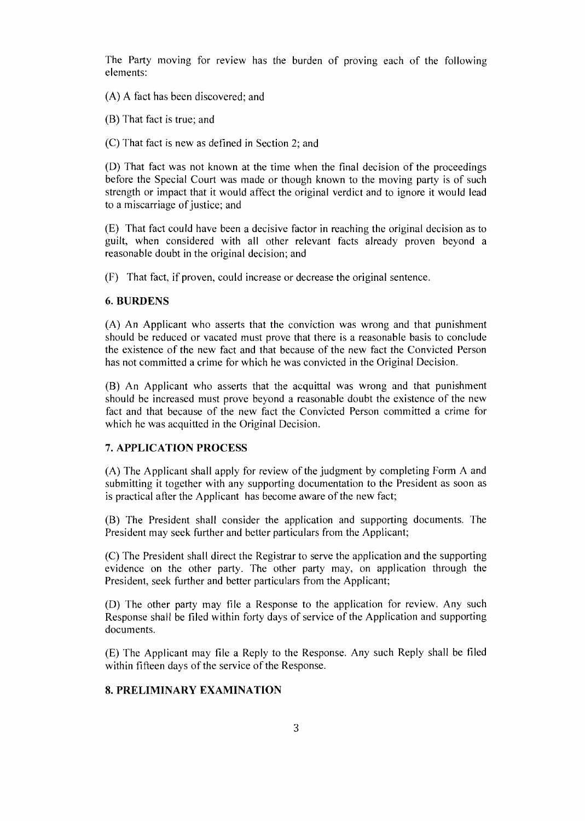The Party moving for review has the burden of proving each of the following elements:

(A) A fact has been discovered; and

(B) That fact is true; and

(C) That fact is new as defined in Section 2; and

(D) That fact was not known at the time when the final decision of the proceedings before the Special Court was made or though known to the moving party is of such strength or impact that it would affect the original verdict and to ignore it would lead to a miscarriage of justice; and

(E) That fact could have been a decisive factor in reaching the original decision as to guilt, when considered with all other relevant facts already proven beyond a reasonable doubt in the original decision; and

(F) That fact, if proven, could increase or decrease the original sentence.

#### 6. **BURDENS**

(A) An Applicant who asserts that the conviction was wrong and that punishment should be reduced or vacated must prove that there is a reasonable basis to conclude the existence of the new fact and that because of the new fact the Convicted Person has not committed a crime for which he was convicted in the Original Decision.

(B) An Applicant who asserts that the acquittal was wrong and that punishment should be increased must prove beyond a reasonable doubt the existence of the new fact and that because of the new fact the Convicted Person committed a crime for which he was acquitted in the Original Decision.

### 7. **APPLICATION PROCESS**

(A) The Applicant shall apply for review of the judgment by completing Form A and submitting it together with any supporting documentation to the President as soon as is practical after the Applicant has become aware of the new fact;

(B) The President shall consider the application and supporting documents. The President may seek further and better particulars from the Applicant;

(C) The President shall direct the Registrar to serve the application and the supporting evidence on the other party. The other party may, on application through the President, seek further and better particulars from the Applicant;

(D) The other party may file a Response to the application for review. Any such Response shall be filed within forty days of service of the Application and supporting documents.

(E) The Applicant may file a Reply to the Response. Any such Reply shall be filed within fifteen days of the service of the Response.

### **8. PRELIMINARY EXAMINATION**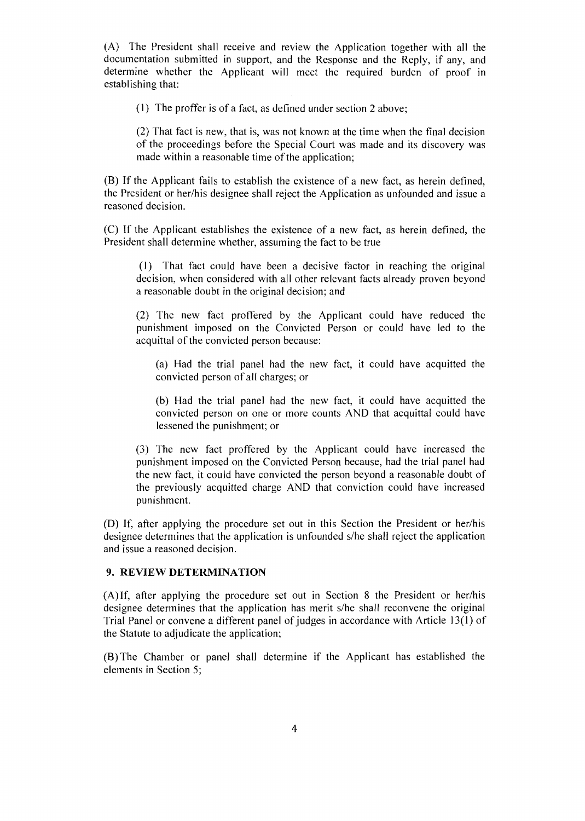(A) The President shall receive and review the Application together with all the documentation submitted in support, and the Response and the Reply, if any, and determine whether the Applicant will meet the required burden of proof in establishing that:

(I) The proffer is of a fact, as defined under section 2 above;

(2) That fact is new, that is, was not known at the time when the final decision of the proceedings before the Special Court was made and its discovery was made within a reasonable time of the application;

(B) If the Applicant fails to establish the existence of a new fact, as herein defined, the President or her/his designee shall reject the Application as unfounded and issue a reasoned decision.

(C) If the Applicant establishes the existence of a new fact, as herein defined, the President shall determine whether, assuming the fact to be true

(I) That fact could have been a decisive factor in reaching the original decision, when considered with all other relevant facts already proven beyond a reasonable doubt *in* the original decision; and

(2) The new fact proffered by the Applicant could have reduced the punishment imposed on the Convicted Person or could have led to the acquittal of the convicted person because:

(a) Had the trial panel had the new fact, it could have acquitted the convicted person of all charges; or

(b) Had the trial panel had the new fact, it could have acquitted the convicted person on one or more counts AND that acquittal could have lessened the punishment; or

(3) The new fact proffered by the Applicant could have increased the punishment imposed on the Convicted Person because, had the trial panel had the new fact, it could have convicted the person beyond a reasonable doubt of the previously acquitted charge AND that conviction could have increased punishment.

(D) If, after applying the procedure set out in this Section the President or her/his designee determines that the application is unfounded s/he shall reject the application and issue a reasoned decision.

#### **9. REVIEW DETERMINATION**

(A)If, after applying the procedure set out in Section 8 the President or her/his designee determines that the application has merit s/he shall reconvene the original Trial Panel or convene a different panel of judges in accordance with Article  $13(1)$  of the Statute to adjudicate the application;

(B) The Chamber or panel shall determine if the Applicant has established the elements in Section 5;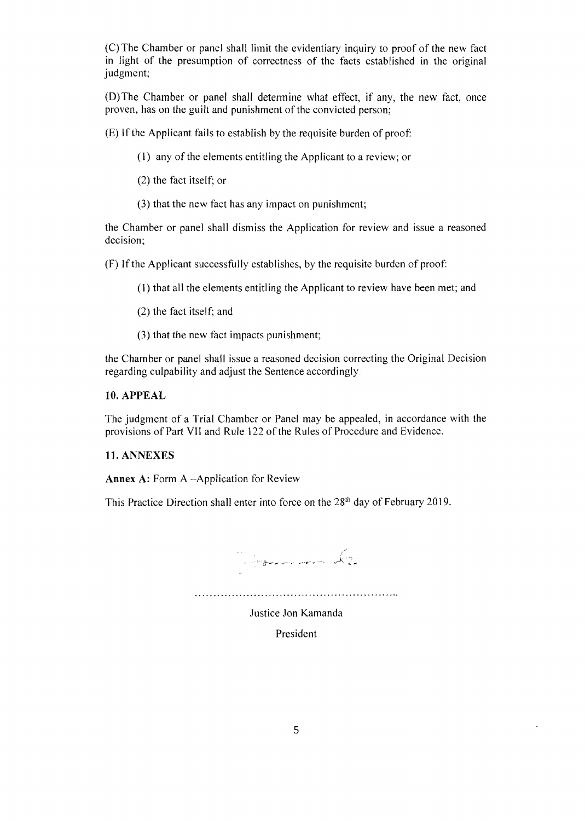(C) The Chamber or panel shall limit the evidentiary inquiry to proof of the new fact in light of the presumption of correctness of the facts established in the original judgment;

(D) The Chamber or panel shall determine what effect, if any, the new fact, once proven, has on the guilt and punishment of the convicted person;

(E) If the Applicant fails to establish by the requisite burden of proof:

- (1) any of the elements entitling the Applicant to a review; or
- (2) the fact itself; or
- (3) that the new fact has any impact on punishment;

the Chamber or panel shall dismiss the Application for review and issue a reasoned decision;

(F) If the Applicant successfully establishes, by the requisite burden of proof:

(1) that all the elements entitling the Applicant to review have been met; and

- (2) the fact itself; and
- (3) that the new fact impacts punishment;

the Chamber or panel shall issue a reasoned decision correcting the Original Decision regarding culpability and adjust the Sentence accordingly

## 10. APPEAL

The judgment of a Trial Chamber or Panel may be appealed, in accordance with the provisions of Part VII and Rule 122 of the Rules of Procedure and Evidence.

## 11. ANNEXES

Annex A: Form A --Application for Review

This Practice Direction shall enter into force on the 28<sup>th</sup> day of February 2019.

an<br>Santa general meneri Mar Justice Jon Kamanda

President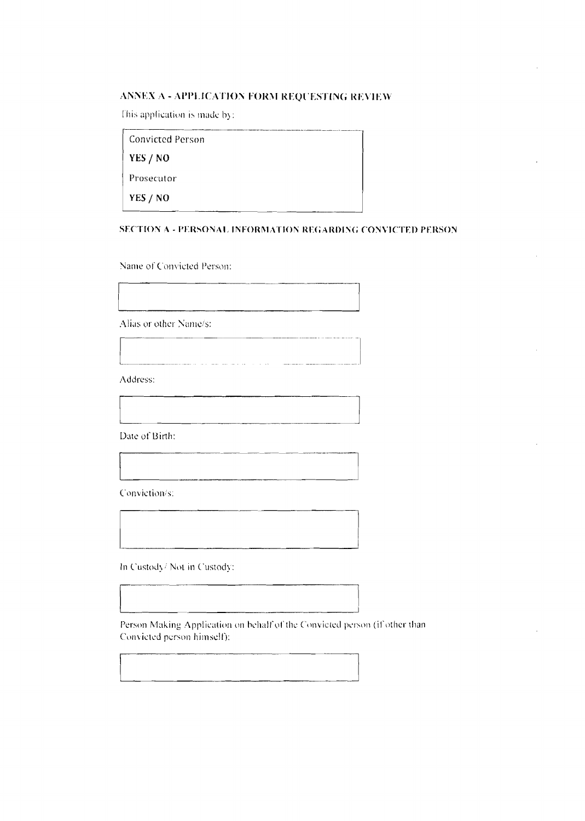# ANNEX A - APPLICATION FORM REQUESTING REVIEW

This application is made by:

| Convicted Person |  |
|------------------|--|
| YES / NO         |  |
| Prosecutor       |  |
| YES / NO         |  |

# SECTION A - PERSONAL INFORMATION REGARDING CONVICTED PERSON

Name of Convicted Person:

Alias or other Name/s:

Address:

Date of Birth:

Conviction/s:

In Custody/Not in Custody:

Person Making Application on behalf of the Convicted person (if other than Convicted person himself):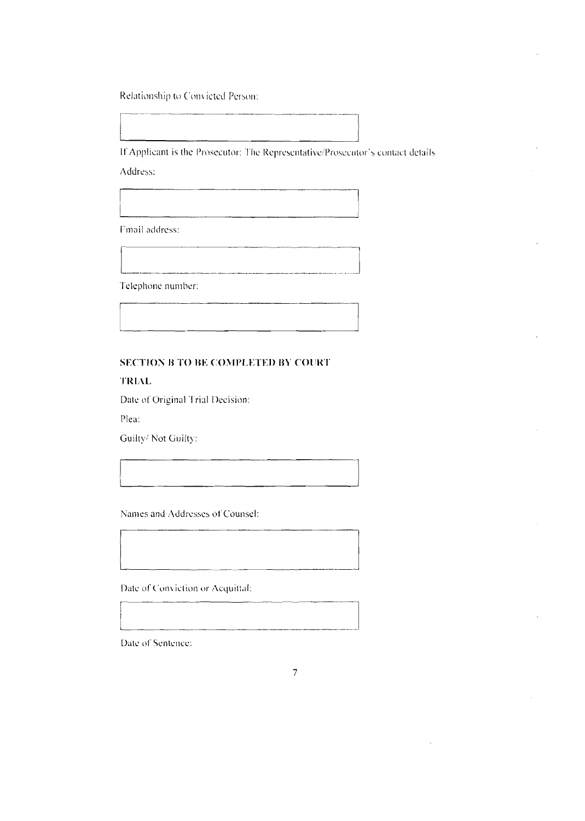Relationship to Convicted Person:

If Applicant is the Prosecutor: The Representative/Prosecutor's contact details Address:

Fmail address:

Telephone number:

# **SECTION B TO BE COMPLETED BY COURT**

TRIAL

Date of Original Trial Decision:

Plea:

Guilty/Not Guilty:

Names and Addresses of Counsel:

Date of Conviction or Acquittal:

Date of Sentence: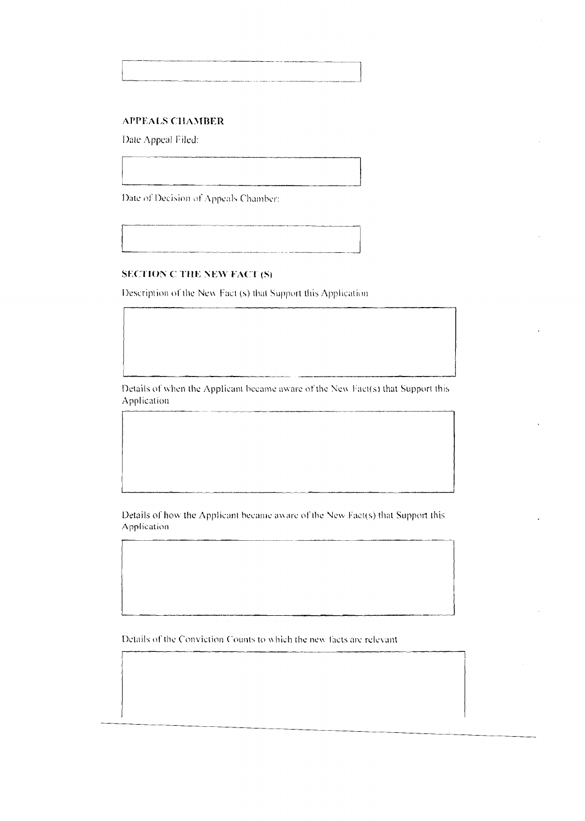### **APPEALS CHAMBER**

Date Appeal Filed:

Date of Decision of Appeals Chamber:

#### **SECTION C THE NEW FACT (S)**

Description of the New Fact (s) that Support this Application

Details of when the Applicant became aware of the New Fact(s) that Support this Application

Details of how the Applicant became aware of the New Fact(s) that Support this Application

Details of the Conviction Counts to which the new facts are relevant